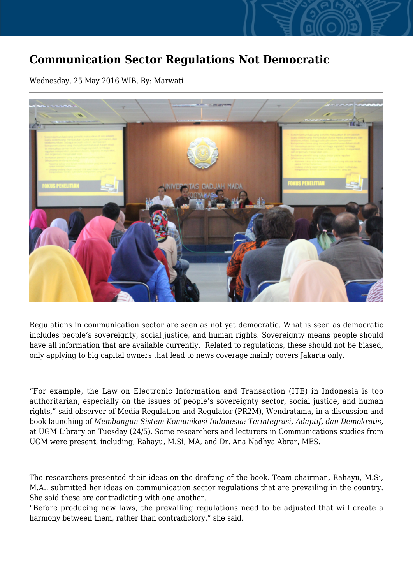## **Communication Sector Regulations Not Democratic**

Wednesday, 25 May 2016 WIB, By: Marwati



Regulations in communication sector are seen as not yet democratic. What is seen as democratic includes people's sovereignty, social justice, and human rights. Sovereignty means people should have all information that are available currently. Related to regulations, these should not be biased, only applying to big capital owners that lead to news coverage mainly covers Jakarta only.

"For example, the Law on Electronic Information and Transaction (ITE) in Indonesia is too authoritarian, especially on the issues of people's sovereignty sector, social justice, and human rights," said observer of Media Regulation and Regulator (PR2M), Wendratama, in a discussion and book launching of *Membangun Sistem Komunikasi Indonesia: Terintegrasi, Adaptif, dan Demokratis*, at UGM Library on Tuesday (24/5). Some researchers and lecturers in Communications studies from UGM were present, including, Rahayu, M.Si, MA, and Dr. Ana Nadhya Abrar, MES.

The researchers presented their ideas on the drafting of the book. Team chairman, Rahayu, M.Si, M.A., submitted her ideas on communication sector regulations that are prevailing in the country. She said these are contradicting with one another.

"Before producing new laws, the prevailing regulations need to be adjusted that will create a harmony between them, rather than contradictory," she said.